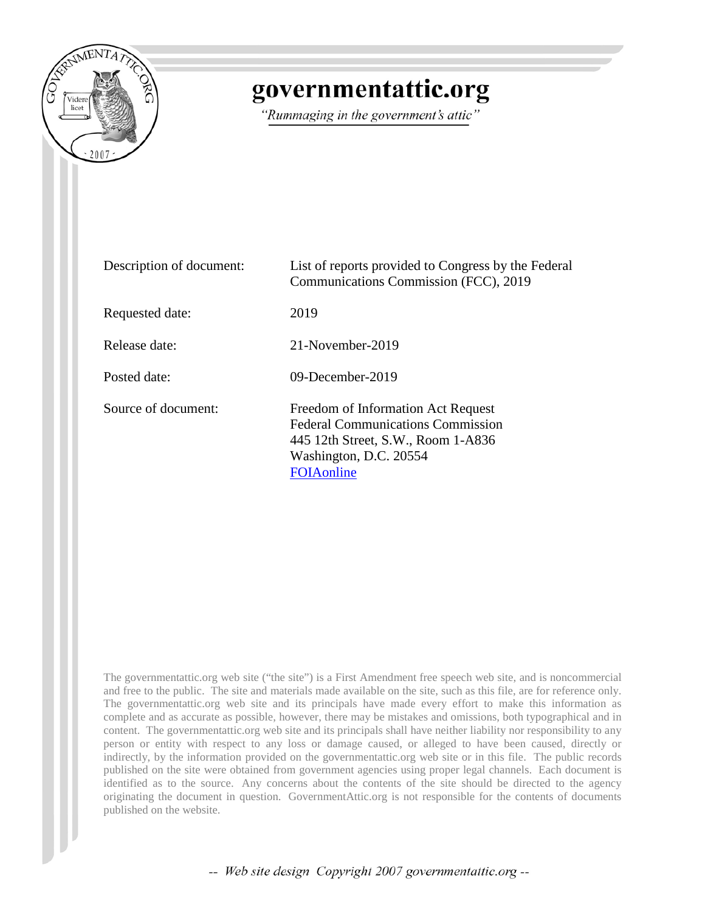

## governmentattic.org

"Rummaging in the government's attic"

| Description of document: | List of reports provided to Congress by the Federal<br>Communications Commission (FCC), 2019                                                                 |
|--------------------------|--------------------------------------------------------------------------------------------------------------------------------------------------------------|
| Requested date:          | 2019                                                                                                                                                         |
| Release date:            | 21-November-2019                                                                                                                                             |
| Posted date:             | $09$ -December-2019                                                                                                                                          |
| Source of document:      | Freedom of Information Act Request<br><b>Federal Communications Commission</b><br>445 12th Street, S.W., Room 1-A836<br>Washington, D.C. 20554<br>FOIAonline |

The governmentattic.org web site ("the site") is a First Amendment free speech web site, and is noncommercial and free to the public. The site and materials made available on the site, such as this file, are for reference only. The governmentattic.org web site and its principals have made every effort to make this information as complete and as accurate as possible, however, there may be mistakes and omissions, both typographical and in content. The governmentattic.org web site and its principals shall have neither liability nor responsibility to any person or entity with respect to any loss or damage caused, or alleged to have been caused, directly or indirectly, by the information provided on the governmentattic.org web site or in this file. The public records published on the site were obtained from government agencies using proper legal channels. Each document is identified as to the source. Any concerns about the contents of the site should be directed to the agency originating the document in question. GovernmentAttic.org is not responsible for the contents of documents published on the website.

-- Web site design Copyright 2007 governmentattic.org --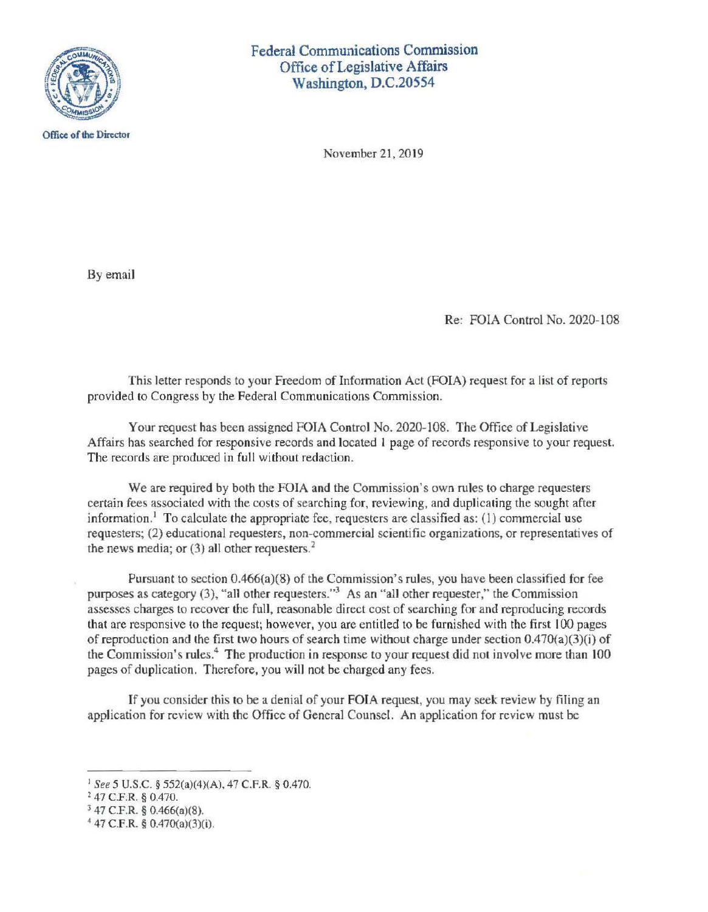

Federal Communications Commission Office of Legislative Affairs Washington, D.C.20554

November 21, 2019

By email

Re: FOIA Control No. 2020-108

This letter responds to your Freedom of Information Act (FOIA) request for a list of reports provided to Congress by the Federal Communications Commission.

Your request has been assigned FOIA Control No. 2020-108. The Office of Legislative Affairs has searched for responsive records and located l page of records responsive to your request. The records are produced in full without redaction.

We are required by both the FOIA and the Commission's own rules to charge requesters certain fees associated with the costs of searching for, reviewing, and duplicating the sought after information.<sup>1</sup> To calculate the appropriate fee, requesters are classified as: (1) commercial use requesters; (2) educational requesters, non-commercial scientific organizations, or representatives of the news media; or  $(3)$  all other requesters.<sup>2</sup>

Pursuant to section 0.466(a)(8) of the Commission's rules, you have been classified **for** fee purposes as category (3), "all other requesters."<sup>3</sup> As an "all other requester," the Commission assesses charges to recover the full, reasonable direct cost of searching for and reproducing records that are responsive to the request; however, you are entitled to be furnished with the first I 00 pages of reproduction and the first two hours of search time without charge under section 0.470(a)(3)(i) of the Commission's rules.<sup>4</sup> The production in response to your request did not involve more than 100 pages of duplication. Therefore, you will not be charged any fees.

If you consider this to be a denial of your FOIA request, you may seek review by filing an application for review with the Office of General Counsel. An application for review must be

<sup>1</sup>*See* 5 U.S.C. § 552(a)(4)(A), 47 C.F.R. § 0.470.

<sup>2 47</sup> C.F.R. § 0.470.

<sup>3</sup>47 C.F.R. § 0.466(a)(8).

<sup>4</sup>47 C.F.R. § 0.470(a)(3)(i).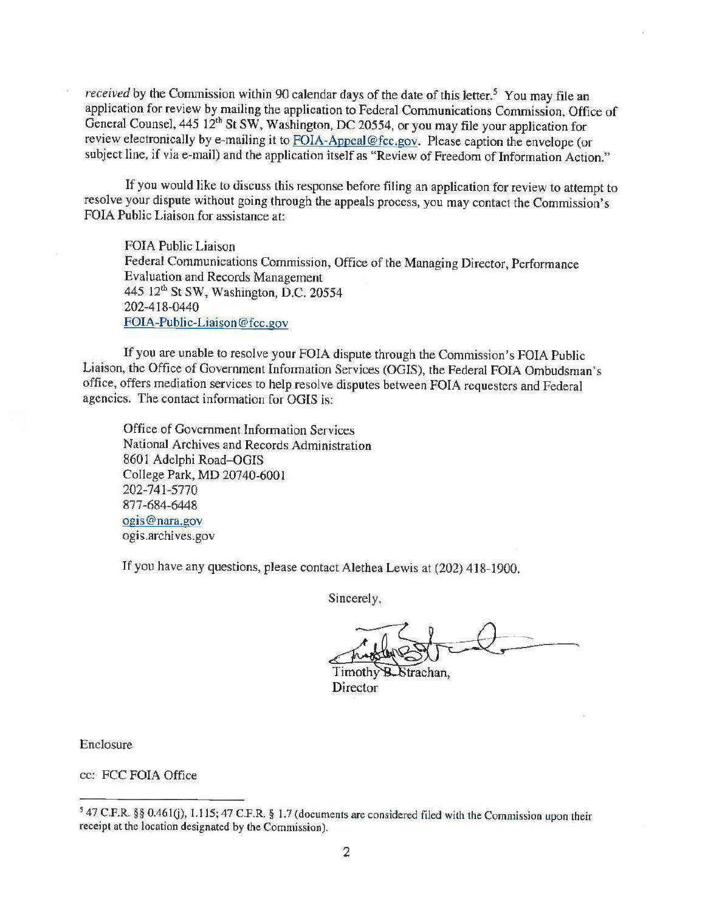*received* by the Commission within 90 calendar days of the date of this letter.<sup>5</sup> You may file an application for review by mailing the application to Federal Communications Commission, Office of General Counsel, 445 12th **St SW,** Washington, DC 20554, or you may file your application for review electronically by e-mailing it to FOIA-Appeal@fcc.gov. Please caption the envelope (or subject line, if via e-mail) and the application itself as "Review of Freedom of Information Action."

If you would like to discuss this response before filing an application for review to attempt to resolve your dispute without going through the appeals process, you may contact the Commission's FOIA Public Liaison for assistance at:

FOIA Public Liaison Federal Communications Commission, Office of the Managing Director, Performance Evaluation and Records Management 445 12<sup>th</sup> St SW, Washington, D.C. 20554 202-418-0440 FOIA-Public-Liaison@fcc.gov

If you are unable to resolve your FOIA dispute through the Commission's FOIA Public Liaison, the Office of Government Information Services (OGIS), the Federal FOIA Ombudsman's office, offers mediation services to help resolve disputes between FOIA requesters and Federal agencies. The contact information for OGIS is:

Office of Government Information Services National Archives and Records Administration 8601 Adelphi Road-OGIS College Park, **MD** 20740-6001 202-741-5770 877-684-6448 ogis@nara.gov ogis.archives.gov

If you have any questions, please contact Alethea Lewis at (202) 418-1900.

Sincerely,

Strachan. Director

Enclosure

cc: FCC FOIA Office

<sup>5 47</sup> C.F.R. §§ 0.46l(i), I.I 15; 47 C.F.R. § 1.7 (documents are considered filed with the Commission upon their receipt at the location designated by the Commission).